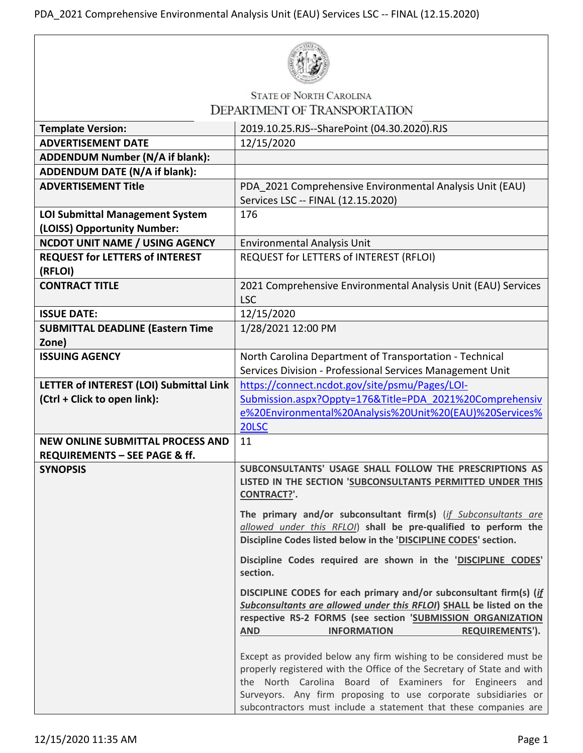

## **STATE OF NORTH CAROLINA**

| <b>DEPARTMENT OF TRANSPORTATION</b>                                   |                                                                                                                                                                                                                                                                                                                                               |
|-----------------------------------------------------------------------|-----------------------------------------------------------------------------------------------------------------------------------------------------------------------------------------------------------------------------------------------------------------------------------------------------------------------------------------------|
| <b>Template Version:</b>                                              | 2019.10.25.RJS--SharePoint (04.30.2020).RJS                                                                                                                                                                                                                                                                                                   |
| <b>ADVERTISEMENT DATE</b>                                             | 12/15/2020                                                                                                                                                                                                                                                                                                                                    |
| ADDENDUM Number (N/A if blank):                                       |                                                                                                                                                                                                                                                                                                                                               |
| <b>ADDENDUM DATE (N/A if blank):</b>                                  |                                                                                                                                                                                                                                                                                                                                               |
| <b>ADVERTISEMENT Title</b>                                            | PDA 2021 Comprehensive Environmental Analysis Unit (EAU)<br>Services LSC -- FINAL (12.15.2020)                                                                                                                                                                                                                                                |
| <b>LOI Submittal Management System</b><br>(LOISS) Opportunity Number: | 176                                                                                                                                                                                                                                                                                                                                           |
| <b>NCDOT UNIT NAME / USING AGENCY</b>                                 | <b>Environmental Analysis Unit</b>                                                                                                                                                                                                                                                                                                            |
| <b>REQUEST for LETTERS of INTEREST</b><br>(RFLOI)                     | REQUEST for LETTERS of INTEREST (RFLOI)                                                                                                                                                                                                                                                                                                       |
| <b>CONTRACT TITLE</b>                                                 | 2021 Comprehensive Environmental Analysis Unit (EAU) Services<br><b>LSC</b>                                                                                                                                                                                                                                                                   |
| <b>ISSUE DATE:</b>                                                    | 12/15/2020                                                                                                                                                                                                                                                                                                                                    |
| <b>SUBMITTAL DEADLINE (Eastern Time</b><br>Zone)                      | 1/28/2021 12:00 PM                                                                                                                                                                                                                                                                                                                            |
| <b>ISSUING AGENCY</b>                                                 | North Carolina Department of Transportation - Technical<br>Services Division - Professional Services Management Unit                                                                                                                                                                                                                          |
| LETTER of INTEREST (LOI) Submittal Link                               | https://connect.ncdot.gov/site/psmu/Pages/LOI-                                                                                                                                                                                                                                                                                                |
| (Ctrl + Click to open link):                                          | Submission.aspx?Oppty=176&Title=PDA 2021%20Comprehensiv                                                                                                                                                                                                                                                                                       |
|                                                                       | e%20Environmental%20Analysis%20Unit%20(EAU)%20Services%                                                                                                                                                                                                                                                                                       |
|                                                                       | 20LSC                                                                                                                                                                                                                                                                                                                                         |
| <b>NEW ONLINE SUBMITTAL PROCESS AND</b>                               | 11                                                                                                                                                                                                                                                                                                                                            |
| REQUIREMENTS - SEE PAGE & ff.<br><b>SYNOPSIS</b>                      | SUBCONSULTANTS' USAGE SHALL FOLLOW THE PRESCRIPTIONS AS<br>LISTED IN THE SECTION 'SUBCONSULTANTS PERMITTED UNDER THIS<br>CONTRACT?'.                                                                                                                                                                                                          |
|                                                                       | The primary and/or subconsultant firm(s) (if Subconsultants are<br>allowed under this RFLOI) shall be pre-qualified to perform the<br>Discipline Codes listed below in the 'DISCIPLINE CODES' section.                                                                                                                                        |
|                                                                       | Discipline Codes required are shown in the 'DISCIPLINE CODES'<br>section.                                                                                                                                                                                                                                                                     |
|                                                                       | DISCIPLINE CODES for each primary and/or subconsultant firm(s) (if<br>Subconsultants are allowed under this RFLOI) SHALL be listed on the<br>respective RS-2 FORMS (see section 'SUBMISSION ORGANIZATION<br>REQUIREMENTS').<br><b>AND</b><br><b>INFORMATION</b>                                                                               |
|                                                                       | Except as provided below any firm wishing to be considered must be<br>properly registered with the Office of the Secretary of State and with<br>the North Carolina Board of Examiners for Engineers and<br>Surveyors. Any firm proposing to use corporate subsidiaries or<br>subcontractors must include a statement that these companies are |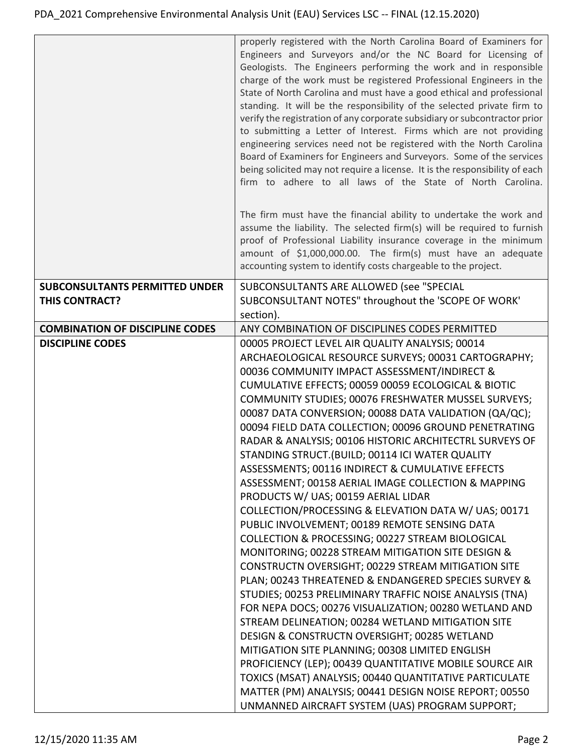|                                        | properly registered with the North Carolina Board of Examiners for<br>Engineers and Surveyors and/or the NC Board for Licensing of<br>Geologists. The Engineers performing the work and in responsible<br>charge of the work must be registered Professional Engineers in the<br>State of North Carolina and must have a good ethical and professional<br>standing. It will be the responsibility of the selected private firm to<br>verify the registration of any corporate subsidiary or subcontractor prior<br>to submitting a Letter of Interest. Firms which are not providing<br>engineering services need not be registered with the North Carolina<br>Board of Examiners for Engineers and Surveyors. Some of the services<br>being solicited may not require a license. It is the responsibility of each<br>firm to adhere to all laws of the State of North Carolina. |
|----------------------------------------|----------------------------------------------------------------------------------------------------------------------------------------------------------------------------------------------------------------------------------------------------------------------------------------------------------------------------------------------------------------------------------------------------------------------------------------------------------------------------------------------------------------------------------------------------------------------------------------------------------------------------------------------------------------------------------------------------------------------------------------------------------------------------------------------------------------------------------------------------------------------------------|
|                                        | The firm must have the financial ability to undertake the work and<br>assume the liability. The selected firm(s) will be required to furnish<br>proof of Professional Liability insurance coverage in the minimum<br>amount of \$1,000,000.00. The firm(s) must have an adequate<br>accounting system to identify costs chargeable to the project.                                                                                                                                                                                                                                                                                                                                                                                                                                                                                                                               |
| <b>SUBCONSULTANTS PERMITTED UNDER</b>  | SUBCONSULTANTS ARE ALLOWED (see "SPECIAL                                                                                                                                                                                                                                                                                                                                                                                                                                                                                                                                                                                                                                                                                                                                                                                                                                         |
| <b>THIS CONTRACT?</b>                  | SUBCONSULTANT NOTES" throughout the 'SCOPE OF WORK'                                                                                                                                                                                                                                                                                                                                                                                                                                                                                                                                                                                                                                                                                                                                                                                                                              |
|                                        | section).                                                                                                                                                                                                                                                                                                                                                                                                                                                                                                                                                                                                                                                                                                                                                                                                                                                                        |
| <b>COMBINATION OF DISCIPLINE CODES</b> | ANY COMBINATION OF DISCIPLINES CODES PERMITTED                                                                                                                                                                                                                                                                                                                                                                                                                                                                                                                                                                                                                                                                                                                                                                                                                                   |
| <b>DISCIPLINE CODES</b>                | 00005 PROJECT LEVEL AIR QUALITY ANALYSIS; 00014                                                                                                                                                                                                                                                                                                                                                                                                                                                                                                                                                                                                                                                                                                                                                                                                                                  |
|                                        | ARCHAEOLOGICAL RESOURCE SURVEYS; 00031 CARTOGRAPHY;<br>00036 COMMUNITY IMPACT ASSESSMENT/INDIRECT &                                                                                                                                                                                                                                                                                                                                                                                                                                                                                                                                                                                                                                                                                                                                                                              |
|                                        | CUMULATIVE EFFECTS; 00059 00059 ECOLOGICAL & BIOTIC                                                                                                                                                                                                                                                                                                                                                                                                                                                                                                                                                                                                                                                                                                                                                                                                                              |
|                                        | COMMUNITY STUDIES; 00076 FRESHWATER MUSSEL SURVEYS;                                                                                                                                                                                                                                                                                                                                                                                                                                                                                                                                                                                                                                                                                                                                                                                                                              |
|                                        | 00087 DATA CONVERSION; 00088 DATA VALIDATION (QA/QC);                                                                                                                                                                                                                                                                                                                                                                                                                                                                                                                                                                                                                                                                                                                                                                                                                            |
|                                        | 00094 FIELD DATA COLLECTION; 00096 GROUND PENETRATING                                                                                                                                                                                                                                                                                                                                                                                                                                                                                                                                                                                                                                                                                                                                                                                                                            |
|                                        | RADAR & ANALYSIS; 00106 HISTORIC ARCHITECTRL SURVEYS OF                                                                                                                                                                                                                                                                                                                                                                                                                                                                                                                                                                                                                                                                                                                                                                                                                          |
|                                        | STANDING STRUCT. (BUILD; 00114 ICI WATER QUALITY                                                                                                                                                                                                                                                                                                                                                                                                                                                                                                                                                                                                                                                                                                                                                                                                                                 |
|                                        | ASSESSMENTS; 00116 INDIRECT & CUMULATIVE EFFECTS                                                                                                                                                                                                                                                                                                                                                                                                                                                                                                                                                                                                                                                                                                                                                                                                                                 |
|                                        | ASSESSMENT; 00158 AERIAL IMAGE COLLECTION & MAPPING                                                                                                                                                                                                                                                                                                                                                                                                                                                                                                                                                                                                                                                                                                                                                                                                                              |
|                                        | PRODUCTS W/ UAS; 00159 AERIAL LIDAR                                                                                                                                                                                                                                                                                                                                                                                                                                                                                                                                                                                                                                                                                                                                                                                                                                              |
|                                        | COLLECTION/PROCESSING & ELEVATION DATA W/ UAS; 00171                                                                                                                                                                                                                                                                                                                                                                                                                                                                                                                                                                                                                                                                                                                                                                                                                             |
|                                        | PUBLIC INVOLVEMENT; 00189 REMOTE SENSING DATA                                                                                                                                                                                                                                                                                                                                                                                                                                                                                                                                                                                                                                                                                                                                                                                                                                    |
|                                        | COLLECTION & PROCESSING; 00227 STREAM BIOLOGICAL                                                                                                                                                                                                                                                                                                                                                                                                                                                                                                                                                                                                                                                                                                                                                                                                                                 |
|                                        | MONITORING; 00228 STREAM MITIGATION SITE DESIGN &<br>CONSTRUCTN OVERSIGHT; 00229 STREAM MITIGATION SITE                                                                                                                                                                                                                                                                                                                                                                                                                                                                                                                                                                                                                                                                                                                                                                          |
|                                        | PLAN; 00243 THREATENED & ENDANGERED SPECIES SURVEY &                                                                                                                                                                                                                                                                                                                                                                                                                                                                                                                                                                                                                                                                                                                                                                                                                             |
|                                        | STUDIES; 00253 PRELIMINARY TRAFFIC NOISE ANALYSIS (TNA)                                                                                                                                                                                                                                                                                                                                                                                                                                                                                                                                                                                                                                                                                                                                                                                                                          |
|                                        | FOR NEPA DOCS; 00276 VISUALIZATION; 00280 WETLAND AND                                                                                                                                                                                                                                                                                                                                                                                                                                                                                                                                                                                                                                                                                                                                                                                                                            |
|                                        | STREAM DELINEATION; 00284 WETLAND MITIGATION SITE                                                                                                                                                                                                                                                                                                                                                                                                                                                                                                                                                                                                                                                                                                                                                                                                                                |
|                                        | DESIGN & CONSTRUCTN OVERSIGHT; 00285 WETLAND                                                                                                                                                                                                                                                                                                                                                                                                                                                                                                                                                                                                                                                                                                                                                                                                                                     |
|                                        | MITIGATION SITE PLANNING; 00308 LIMITED ENGLISH                                                                                                                                                                                                                                                                                                                                                                                                                                                                                                                                                                                                                                                                                                                                                                                                                                  |
|                                        | PROFICIENCY (LEP); 00439 QUANTITATIVE MOBILE SOURCE AIR                                                                                                                                                                                                                                                                                                                                                                                                                                                                                                                                                                                                                                                                                                                                                                                                                          |
|                                        | TOXICS (MSAT) ANALYSIS; 00440 QUANTITATIVE PARTICULATE                                                                                                                                                                                                                                                                                                                                                                                                                                                                                                                                                                                                                                                                                                                                                                                                                           |
|                                        | MATTER (PM) ANALYSIS; 00441 DESIGN NOISE REPORT; 00550                                                                                                                                                                                                                                                                                                                                                                                                                                                                                                                                                                                                                                                                                                                                                                                                                           |
|                                        | UNMANNED AIRCRAFT SYSTEM (UAS) PROGRAM SUPPORT;                                                                                                                                                                                                                                                                                                                                                                                                                                                                                                                                                                                                                                                                                                                                                                                                                                  |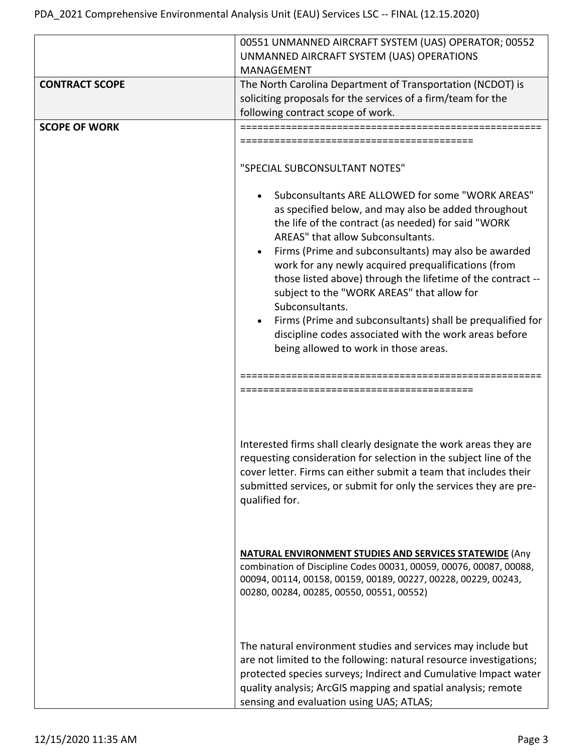|                       | 00551 UNMANNED AIRCRAFT SYSTEM (UAS) OPERATOR; 00552<br>UNMANNED AIRCRAFT SYSTEM (UAS) OPERATIONS<br>MANAGEMENT                                                                                                                                                                                                                                                     |
|-----------------------|---------------------------------------------------------------------------------------------------------------------------------------------------------------------------------------------------------------------------------------------------------------------------------------------------------------------------------------------------------------------|
| <b>CONTRACT SCOPE</b> | The North Carolina Department of Transportation (NCDOT) is<br>soliciting proposals for the services of a firm/team for the<br>following contract scope of work.                                                                                                                                                                                                     |
| <b>SCOPE OF WORK</b>  | ================================                                                                                                                                                                                                                                                                                                                                    |
|                       | "SPECIAL SUBCONSULTANT NOTES"<br>Subconsultants ARE ALLOWED for some "WORK AREAS"<br>as specified below, and may also be added throughout<br>the life of the contract (as needed) for said "WORK<br>AREAS" that allow Subconsultants.                                                                                                                               |
|                       | Firms (Prime and subconsultants) may also be awarded<br>work for any newly acquired prequalifications (from<br>those listed above) through the lifetime of the contract --<br>subject to the "WORK AREAS" that allow for<br>Subconsultants.<br>Firms (Prime and subconsultants) shall be prequalified for<br>discipline codes associated with the work areas before |
|                       | being allowed to work in those areas.                                                                                                                                                                                                                                                                                                                               |
|                       | ===================================                                                                                                                                                                                                                                                                                                                                 |
|                       | Interested firms shall clearly designate the work areas they are<br>requesting consideration for selection in the subject line of the<br>cover letter. Firms can either submit a team that includes their<br>submitted services, or submit for only the services they are pre-<br>qualified for.                                                                    |
|                       | <b>NATURAL ENVIRONMENT STUDIES AND SERVICES STATEWIDE (Any</b><br>combination of Discipline Codes 00031, 00059, 00076, 00087, 00088,<br>00094, 00114, 00158, 00159, 00189, 00227, 00228, 00229, 00243,<br>00280, 00284, 00285, 00550, 00551, 00552)                                                                                                                 |
|                       | The natural environment studies and services may include but<br>are not limited to the following: natural resource investigations;<br>protected species surveys; Indirect and Cumulative Impact water<br>quality analysis; ArcGIS mapping and spatial analysis; remote<br>sensing and evaluation using UAS; ATLAS;                                                  |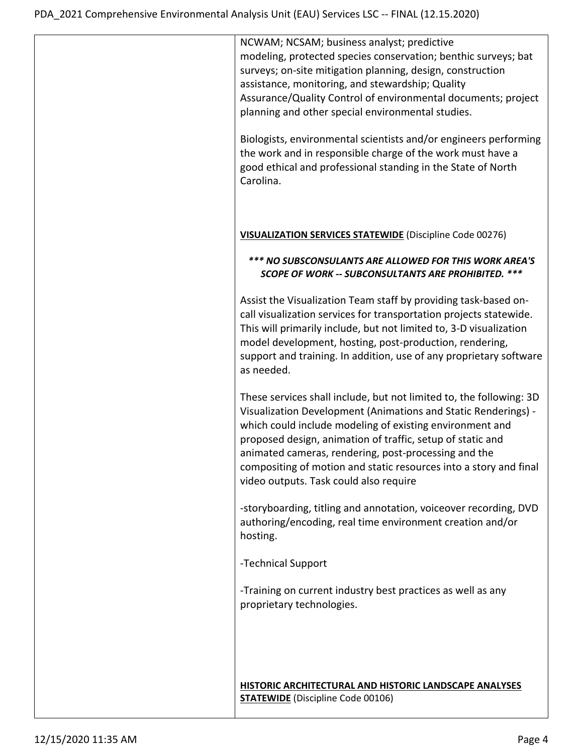| NCWAM; NCSAM; business analyst; predictive<br>modeling, protected species conservation; benthic surveys; bat<br>surveys; on-site mitigation planning, design, construction<br>assistance, monitoring, and stewardship; Quality                                                                                                                                                                                                         |
|----------------------------------------------------------------------------------------------------------------------------------------------------------------------------------------------------------------------------------------------------------------------------------------------------------------------------------------------------------------------------------------------------------------------------------------|
| Assurance/Quality Control of environmental documents; project<br>planning and other special environmental studies.                                                                                                                                                                                                                                                                                                                     |
| Biologists, environmental scientists and/or engineers performing<br>the work and in responsible charge of the work must have a<br>good ethical and professional standing in the State of North<br>Carolina.                                                                                                                                                                                                                            |
| VISUALIZATION SERVICES STATEWIDE (Discipline Code 00276)                                                                                                                                                                                                                                                                                                                                                                               |
| *** NO SUBSCONSULANTS ARE ALLOWED FOR THIS WORK AREA'S<br>SCOPE OF WORK -- SUBCONSULTANTS ARE PROHIBITED. ***                                                                                                                                                                                                                                                                                                                          |
| Assist the Visualization Team staff by providing task-based on-<br>call visualization services for transportation projects statewide.<br>This will primarily include, but not limited to, 3-D visualization<br>model development, hosting, post-production, rendering,<br>support and training. In addition, use of any proprietary software<br>as needed.                                                                             |
| These services shall include, but not limited to, the following: 3D<br>Visualization Development (Animations and Static Renderings) -<br>which could include modeling of existing environment and<br>proposed design, animation of traffic, setup of static and<br>animated cameras, rendering, post-processing and the<br>compositing of motion and static resources into a story and final<br>video outputs. Task could also require |
| -storyboarding, titling and annotation, voiceover recording, DVD<br>authoring/encoding, real time environment creation and/or<br>hosting.                                                                                                                                                                                                                                                                                              |
| -Technical Support                                                                                                                                                                                                                                                                                                                                                                                                                     |
| -Training on current industry best practices as well as any<br>proprietary technologies.                                                                                                                                                                                                                                                                                                                                               |
| HISTORIC ARCHITECTURAL AND HISTORIC LANDSCAPE ANALYSES<br><b>STATEWIDE</b> (Discipline Code 00106)                                                                                                                                                                                                                                                                                                                                     |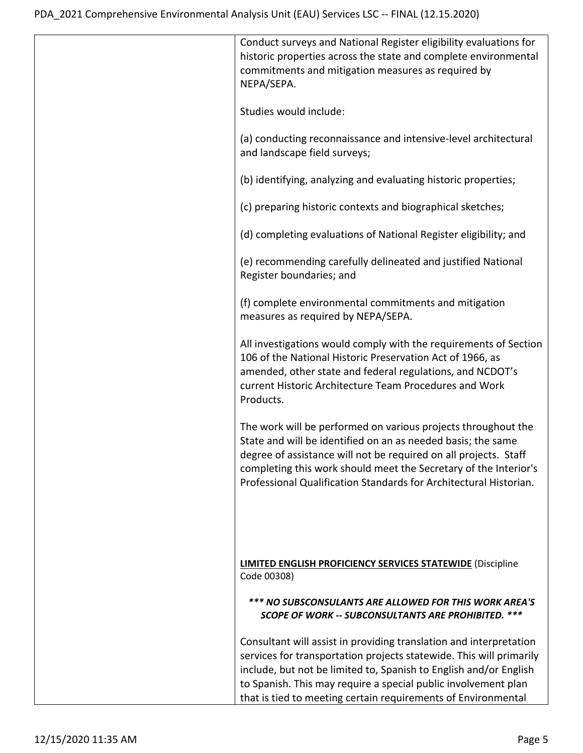| Conduct surveys and National Register eligibility evaluations for<br>historic properties across the state and complete environmental<br>commitments and mitigation measures as required by<br>NEPA/SEPA.                                                                                                                                          |
|---------------------------------------------------------------------------------------------------------------------------------------------------------------------------------------------------------------------------------------------------------------------------------------------------------------------------------------------------|
| Studies would include:                                                                                                                                                                                                                                                                                                                            |
| (a) conducting reconnaissance and intensive-level architectural<br>and landscape field surveys;                                                                                                                                                                                                                                                   |
| (b) identifying, analyzing and evaluating historic properties;                                                                                                                                                                                                                                                                                    |
| (c) preparing historic contexts and biographical sketches;                                                                                                                                                                                                                                                                                        |
| (d) completing evaluations of National Register eligibility; and                                                                                                                                                                                                                                                                                  |
| (e) recommending carefully delineated and justified National<br>Register boundaries; and                                                                                                                                                                                                                                                          |
| (f) complete environmental commitments and mitigation<br>measures as required by NEPA/SEPA.                                                                                                                                                                                                                                                       |
| All investigations would comply with the requirements of Section<br>106 of the National Historic Preservation Act of 1966, as<br>amended, other state and federal regulations, and NCDOT's<br>current Historic Architecture Team Procedures and Work<br>Products.                                                                                 |
| The work will be performed on various projects throughout the<br>State and will be identified on an as needed basis; the same<br>degree of assistance will not be required on all projects. Staff<br>completing this work should meet the Secretary of the Interior's<br>Professional Qualification Standards for Architectural Historian.        |
| <b>LIMITED ENGLISH PROFICIENCY SERVICES STATEWIDE (Discipline</b><br>Code 00308)                                                                                                                                                                                                                                                                  |
| *** NO SUBSCONSULANTS ARE ALLOWED FOR THIS WORK AREA'S<br><b>SCOPE OF WORK -- SUBCONSULTANTS ARE PROHIBITED. ***</b>                                                                                                                                                                                                                              |
| Consultant will assist in providing translation and interpretation<br>services for transportation projects statewide. This will primarily<br>include, but not be limited to, Spanish to English and/or English<br>to Spanish. This may require a special public involvement plan<br>that is tied to meeting certain requirements of Environmental |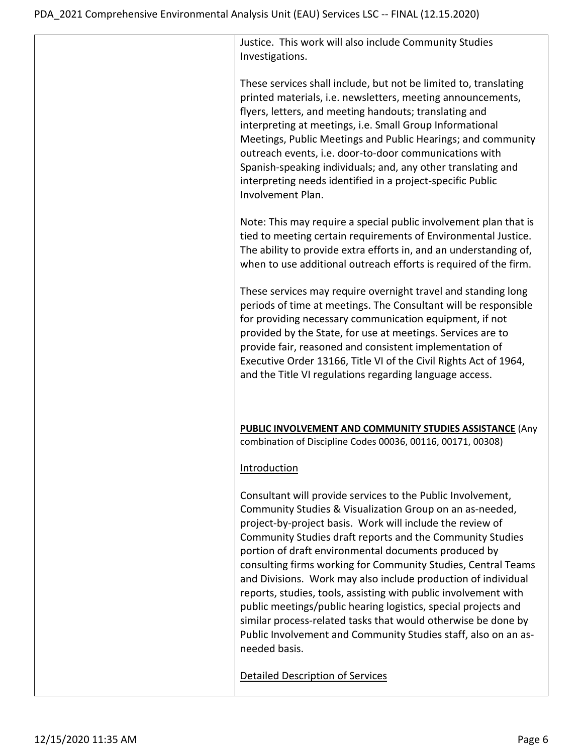| Justice. This work will also include Community Studies<br>Investigations.                                                                                                                                                                                                                                                                                                                                                                                                                                                                                                                                                                                                                                                            |
|--------------------------------------------------------------------------------------------------------------------------------------------------------------------------------------------------------------------------------------------------------------------------------------------------------------------------------------------------------------------------------------------------------------------------------------------------------------------------------------------------------------------------------------------------------------------------------------------------------------------------------------------------------------------------------------------------------------------------------------|
| These services shall include, but not be limited to, translating<br>printed materials, i.e. newsletters, meeting announcements,<br>flyers, letters, and meeting handouts; translating and<br>interpreting at meetings, i.e. Small Group Informational<br>Meetings, Public Meetings and Public Hearings; and community<br>outreach events, i.e. door-to-door communications with<br>Spanish-speaking individuals; and, any other translating and<br>interpreting needs identified in a project-specific Public<br>Involvement Plan.                                                                                                                                                                                                   |
| Note: This may require a special public involvement plan that is<br>tied to meeting certain requirements of Environmental Justice.<br>The ability to provide extra efforts in, and an understanding of,<br>when to use additional outreach efforts is required of the firm.                                                                                                                                                                                                                                                                                                                                                                                                                                                          |
| These services may require overnight travel and standing long<br>periods of time at meetings. The Consultant will be responsible<br>for providing necessary communication equipment, if not<br>provided by the State, for use at meetings. Services are to<br>provide fair, reasoned and consistent implementation of<br>Executive Order 13166, Title VI of the Civil Rights Act of 1964,<br>and the Title VI regulations regarding language access.                                                                                                                                                                                                                                                                                 |
| <b>PUBLIC INVOLVEMENT AND COMMUNITY STUDIES ASSISTANCE (Any</b><br>combination of Discipline Codes 00036, 00116, 00171, 00308)                                                                                                                                                                                                                                                                                                                                                                                                                                                                                                                                                                                                       |
| Introduction                                                                                                                                                                                                                                                                                                                                                                                                                                                                                                                                                                                                                                                                                                                         |
| Consultant will provide services to the Public Involvement,<br>Community Studies & Visualization Group on an as-needed,<br>project-by-project basis. Work will include the review of<br>Community Studies draft reports and the Community Studies<br>portion of draft environmental documents produced by<br>consulting firms working for Community Studies, Central Teams<br>and Divisions. Work may also include production of individual<br>reports, studies, tools, assisting with public involvement with<br>public meetings/public hearing logistics, special projects and<br>similar process-related tasks that would otherwise be done by<br>Public Involvement and Community Studies staff, also on an as-<br>needed basis. |
| Detailed Description of Services                                                                                                                                                                                                                                                                                                                                                                                                                                                                                                                                                                                                                                                                                                     |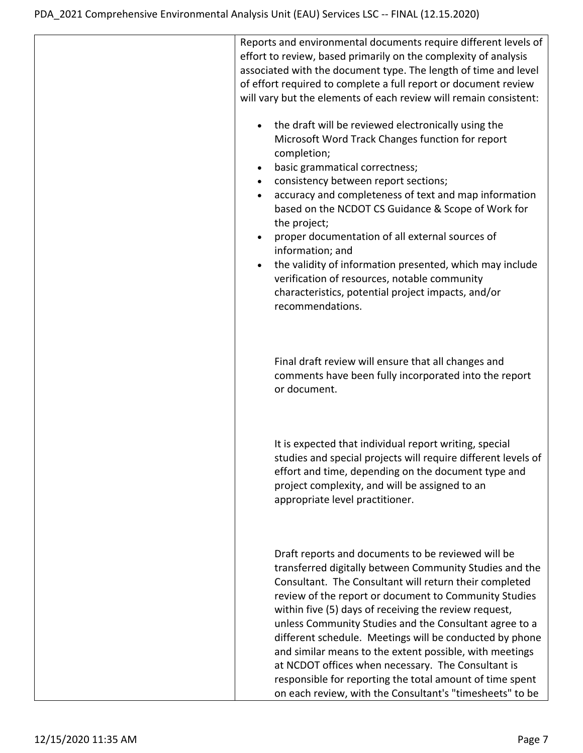| Reports and environmental documents require different levels of<br>effort to review, based primarily on the complexity of analysis<br>associated with the document type. The length of time and level<br>of effort required to complete a full report or document review<br>will vary but the elements of each review will remain consistent:                                                                                                                                                                                                                                                                                                           |
|---------------------------------------------------------------------------------------------------------------------------------------------------------------------------------------------------------------------------------------------------------------------------------------------------------------------------------------------------------------------------------------------------------------------------------------------------------------------------------------------------------------------------------------------------------------------------------------------------------------------------------------------------------|
| the draft will be reviewed electronically using the<br>Microsoft Word Track Changes function for report<br>completion;<br>basic grammatical correctness;<br>consistency between report sections;<br>$\bullet$<br>accuracy and completeness of text and map information<br>٠<br>based on the NCDOT CS Guidance & Scope of Work for<br>the project;<br>proper documentation of all external sources of<br>information; and<br>the validity of information presented, which may include<br>verification of resources, notable community<br>characteristics, potential project impacts, and/or<br>recommendations.                                          |
| Final draft review will ensure that all changes and<br>comments have been fully incorporated into the report<br>or document.                                                                                                                                                                                                                                                                                                                                                                                                                                                                                                                            |
| It is expected that individual report writing, special<br>studies and special projects will require different levels of<br>effort and time, depending on the document type and<br>project complexity, and will be assigned to an<br>appropriate level practitioner.                                                                                                                                                                                                                                                                                                                                                                                     |
| Draft reports and documents to be reviewed will be<br>transferred digitally between Community Studies and the<br>Consultant. The Consultant will return their completed<br>review of the report or document to Community Studies<br>within five (5) days of receiving the review request,<br>unless Community Studies and the Consultant agree to a<br>different schedule. Meetings will be conducted by phone<br>and similar means to the extent possible, with meetings<br>at NCDOT offices when necessary. The Consultant is<br>responsible for reporting the total amount of time spent<br>on each review, with the Consultant's "timesheets" to be |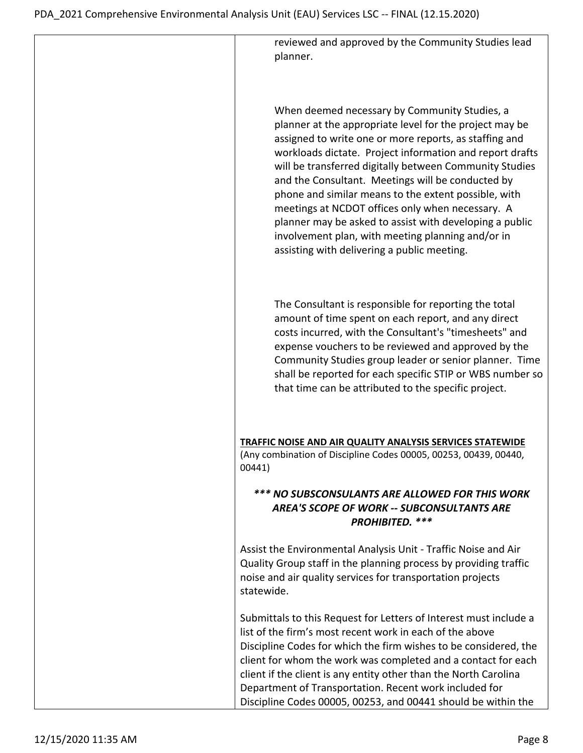reviewed and approved by the Community Studies lead planner.

When deemed necessary by Community Studies, a planner at the appropriate level for the project may be assigned to write one or more reports, as staffing and workloads dictate. Project information and report drafts will be transferred digitally between Community Studies and the Consultant. Meetings will be conducted by phone and similar means to the extent possible, with meetings at NCDOT offices only when necessary. A planner may be asked to assist with developing a public involvement plan, with meeting planning and/or in assisting with delivering a public meeting.

The Consultant is responsible for reporting the total amount of time spent on each report, and any direct costs incurred, with the Consultant's "timesheets" and expense vouchers to be reviewed and approved by the Community Studies group leader or senior planner. Time shall be reported for each specific STIP or WBS number so that time can be attributed to the specific project.

**TRAFFIC NOISE AND AIR QUALITY ANALYSIS SERVICES STATEWIDE** (Any combination of Discipline Codes 00005, 00253, 00439, 00440, 00441)

## *\*\*\* NO SUBSCONSULANTS ARE ALLOWED FOR THIS WORK AREA'S SCOPE OF WORK -- SUBCONSULTANTS ARE PROHIBITED. \*\*\**

Assist the Environmental Analysis Unit - Traffic Noise and Air Quality Group staff in the planning process by providing traffic noise and air quality services for transportation projects statewide.

Submittals to this Request for Letters of Interest must include a list of the firm's most recent work in each of the above Discipline Codes for which the firm wishes to be considered, the client for whom the work was completed and a contact for each client if the client is any entity other than the North Carolina Department of Transportation. Recent work included for Discipline Codes 00005, 00253, and 00441 should be within the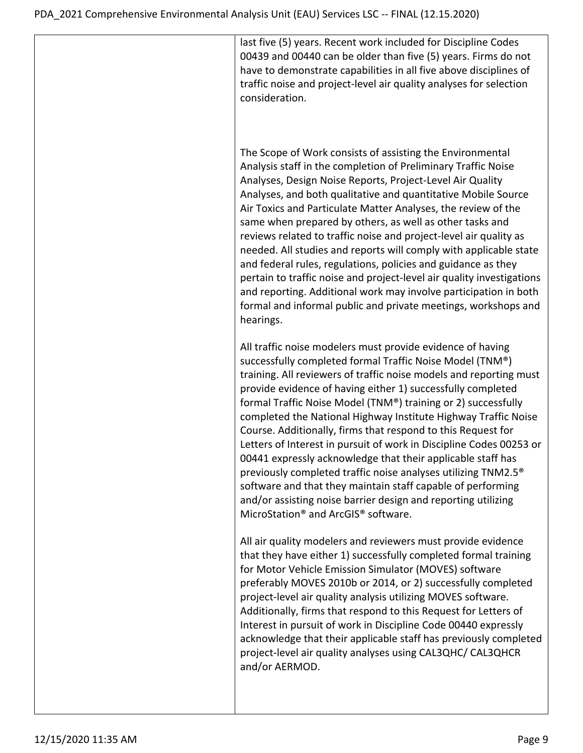last five (5) years. Recent work included for Discipline Codes 00439 and 00440 can be older than five (5) years. Firms do not have to demonstrate capabilities in all five above disciplines of traffic noise and project-level air quality analyses for selection consideration.

The Scope of Work consists of assisting the Environmental Analysis staff in the completion of Preliminary Traffic Noise Analyses, Design Noise Reports, Project-Level Air Quality Analyses, and both qualitative and quantitative Mobile Source Air Toxics and Particulate Matter Analyses, the review of the same when prepared by others, as well as other tasks and reviews related to traffic noise and project-level air quality as needed. All studies and reports will comply with applicable state and federal rules, regulations, policies and guidance as they pertain to traffic noise and project-level air quality investigations and reporting. Additional work may involve participation in both formal and informal public and private meetings, workshops and hearings.

All traffic noise modelers must provide evidence of having successfully completed formal Traffic Noise Model (TNM®) training. All reviewers of traffic noise models and reporting must provide evidence of having either 1) successfully completed formal Traffic Noise Model (TNM®) training or 2) successfully completed the National Highway Institute Highway Traffic Noise Course. Additionally, firms that respond to this Request for Letters of Interest in pursuit of work in Discipline Codes 00253 or 00441 expressly acknowledge that their applicable staff has previously completed traffic noise analyses utilizing TNM2.5® software and that they maintain staff capable of performing and/or assisting noise barrier design and reporting utilizing MicroStation® and ArcGIS® software.

All air quality modelers and reviewers must provide evidence that they have either 1) successfully completed formal training for Motor Vehicle Emission Simulator (MOVES) software preferably MOVES 2010b or 2014, or 2) successfully completed project-level air quality analysis utilizing MOVES software. Additionally, firms that respond to this Request for Letters of Interest in pursuit of work in Discipline Code 00440 expressly acknowledge that their applicable staff has previously completed project-level air quality analyses using CAL3QHC/ CAL3QHCR and/or AERMOD.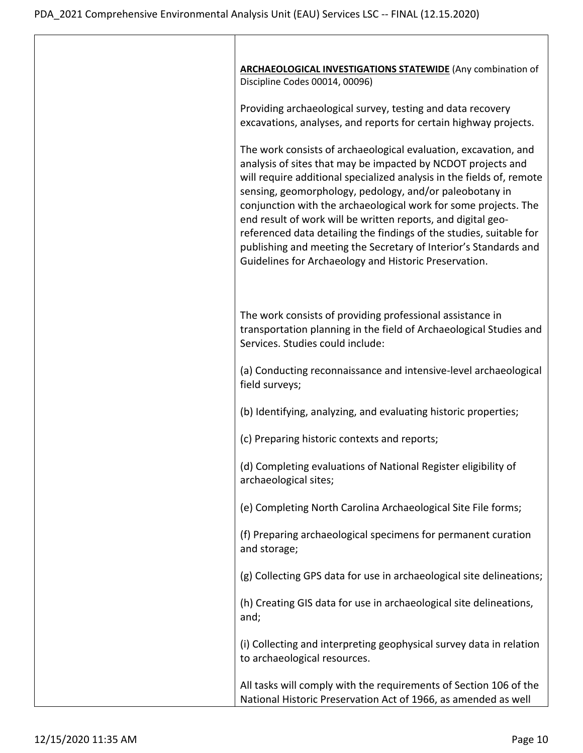| <b>ARCHAEOLOGICAL INVESTIGATIONS STATEWIDE (Any combination of</b><br>Discipline Codes 00014, 00096)                                                                                                                                                                                                                                                                                                                                                                                                                                                                                                       |
|------------------------------------------------------------------------------------------------------------------------------------------------------------------------------------------------------------------------------------------------------------------------------------------------------------------------------------------------------------------------------------------------------------------------------------------------------------------------------------------------------------------------------------------------------------------------------------------------------------|
| Providing archaeological survey, testing and data recovery<br>excavations, analyses, and reports for certain highway projects.                                                                                                                                                                                                                                                                                                                                                                                                                                                                             |
| The work consists of archaeological evaluation, excavation, and<br>analysis of sites that may be impacted by NCDOT projects and<br>will require additional specialized analysis in the fields of, remote<br>sensing, geomorphology, pedology, and/or paleobotany in<br>conjunction with the archaeological work for some projects. The<br>end result of work will be written reports, and digital geo-<br>referenced data detailing the findings of the studies, suitable for<br>publishing and meeting the Secretary of Interior's Standards and<br>Guidelines for Archaeology and Historic Preservation. |
| The work consists of providing professional assistance in<br>transportation planning in the field of Archaeological Studies and<br>Services. Studies could include:                                                                                                                                                                                                                                                                                                                                                                                                                                        |
| (a) Conducting reconnaissance and intensive-level archaeological<br>field surveys;                                                                                                                                                                                                                                                                                                                                                                                                                                                                                                                         |
| (b) Identifying, analyzing, and evaluating historic properties;                                                                                                                                                                                                                                                                                                                                                                                                                                                                                                                                            |
| (c) Preparing historic contexts and reports;                                                                                                                                                                                                                                                                                                                                                                                                                                                                                                                                                               |
| (d) Completing evaluations of National Register eligibility of<br>archaeological sites;                                                                                                                                                                                                                                                                                                                                                                                                                                                                                                                    |
| (e) Completing North Carolina Archaeological Site File forms;                                                                                                                                                                                                                                                                                                                                                                                                                                                                                                                                              |
| (f) Preparing archaeological specimens for permanent curation<br>and storage;                                                                                                                                                                                                                                                                                                                                                                                                                                                                                                                              |
| (g) Collecting GPS data for use in archaeological site delineations;                                                                                                                                                                                                                                                                                                                                                                                                                                                                                                                                       |
| (h) Creating GIS data for use in archaeological site delineations,<br>and;                                                                                                                                                                                                                                                                                                                                                                                                                                                                                                                                 |
| (i) Collecting and interpreting geophysical survey data in relation<br>to archaeological resources.                                                                                                                                                                                                                                                                                                                                                                                                                                                                                                        |
| All tasks will comply with the requirements of Section 106 of the<br>National Historic Preservation Act of 1966, as amended as well                                                                                                                                                                                                                                                                                                                                                                                                                                                                        |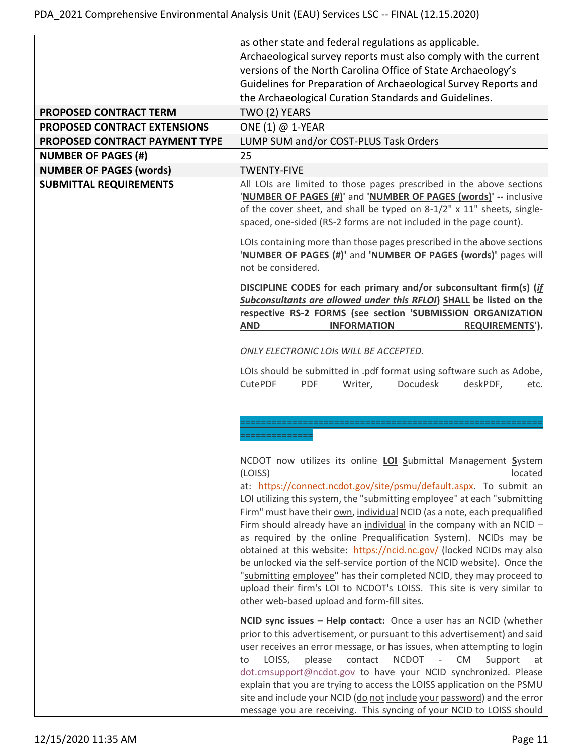|                                | as other state and federal regulations as applicable.                                                                                                                                                                                                                                    |
|--------------------------------|------------------------------------------------------------------------------------------------------------------------------------------------------------------------------------------------------------------------------------------------------------------------------------------|
|                                | Archaeological survey reports must also comply with the current                                                                                                                                                                                                                          |
|                                | versions of the North Carolina Office of State Archaeology's                                                                                                                                                                                                                             |
|                                | Guidelines for Preparation of Archaeological Survey Reports and                                                                                                                                                                                                                          |
|                                | the Archaeological Curation Standards and Guidelines.                                                                                                                                                                                                                                    |
| PROPOSED CONTRACT TERM         | TWO (2) YEARS                                                                                                                                                                                                                                                                            |
| PROPOSED CONTRACT EXTENSIONS   | ONE (1) $@$ 1-YEAR                                                                                                                                                                                                                                                                       |
| PROPOSED CONTRACT PAYMENT TYPE | LUMP SUM and/or COST-PLUS Task Orders                                                                                                                                                                                                                                                    |
| <b>NUMBER OF PAGES (#)</b>     | 25                                                                                                                                                                                                                                                                                       |
| <b>NUMBER OF PAGES (words)</b> | <b>TWENTY-FIVE</b>                                                                                                                                                                                                                                                                       |
| <b>SUBMITTAL REQUIREMENTS</b>  | All LOIs are limited to those pages prescribed in the above sections<br>'NUMBER OF PAGES (#)' and 'NUMBER OF PAGES (words)' -- inclusive<br>of the cover sheet, and shall be typed on 8-1/2" x 11" sheets, single-<br>spaced, one-sided (RS-2 forms are not included in the page count). |
|                                | LOIs containing more than those pages prescribed in the above sections<br>'NUMBER OF PAGES (#)' and 'NUMBER OF PAGES (words)' pages will<br>not be considered.                                                                                                                           |
|                                | DISCIPLINE CODES for each primary and/or subconsultant firm(s) (if<br>Subconsultants are allowed under this RFLOI) SHALL be listed on the<br>respective RS-2 FORMS (see section 'SUBMISSION ORGANIZATION<br><b>AND</b><br><b>INFORMATION</b><br><b>REQUIREMENTS').</b>                   |
|                                |                                                                                                                                                                                                                                                                                          |
|                                | ONLY ELECTRONIC LOIS WILL BE ACCEPTED.                                                                                                                                                                                                                                                   |
|                                | LOIs should be submitted in .pdf format using software such as Adobe,                                                                                                                                                                                                                    |
|                                | Docudesk<br>CutePDF<br><b>PDF</b><br>Writer,<br>deskPDF,<br>etc.                                                                                                                                                                                                                         |
|                                |                                                                                                                                                                                                                                                                                          |
|                                |                                                                                                                                                                                                                                                                                          |
|                                |                                                                                                                                                                                                                                                                                          |
|                                |                                                                                                                                                                                                                                                                                          |
|                                | NCDOT now utilizes its online <b>LOI Submittal Management System</b>                                                                                                                                                                                                                     |
|                                | (LOISS)<br>located                                                                                                                                                                                                                                                                       |
|                                | at: https://connect.ncdot.gov/site/psmu/default.aspx. To submit an<br>LOI utilizing this system, the "submitting employee" at each "submitting                                                                                                                                           |
|                                | Firm" must have their own, individual NCID (as a note, each prequalified                                                                                                                                                                                                                 |
|                                | Firm should already have an individual in the company with an NCID -                                                                                                                                                                                                                     |
|                                | as required by the online Prequalification System). NCIDs may be                                                                                                                                                                                                                         |
|                                | obtained at this website: https://ncid.nc.gov/ (locked NCIDs may also<br>be unlocked via the self-service portion of the NCID website). Once the                                                                                                                                         |
|                                | "submitting employee" has their completed NCID, they may proceed to                                                                                                                                                                                                                      |
|                                | upload their firm's LOI to NCDOT's LOISS. This site is very similar to                                                                                                                                                                                                                   |
|                                | other web-based upload and form-fill sites.                                                                                                                                                                                                                                              |
|                                | NCID sync issues - Help contact: Once a user has an NCID (whether                                                                                                                                                                                                                        |
|                                | prior to this advertisement, or pursuant to this advertisement) and said                                                                                                                                                                                                                 |
|                                | user receives an error message, or has issues, when attempting to login                                                                                                                                                                                                                  |
|                                | LOISS,<br>please<br>contact<br><b>NCDOT</b><br><b>CM</b><br>Support<br>to<br>$\left\vert \cdot \right\vert$<br>at                                                                                                                                                                        |
|                                | dot.cmsupport@ncdot.gov to have your NCID synchronized. Please<br>explain that you are trying to access the LOISS application on the PSMU                                                                                                                                                |
|                                | site and include your NCID (do not include your password) and the error                                                                                                                                                                                                                  |
|                                | message you are receiving. This syncing of your NCID to LOISS should                                                                                                                                                                                                                     |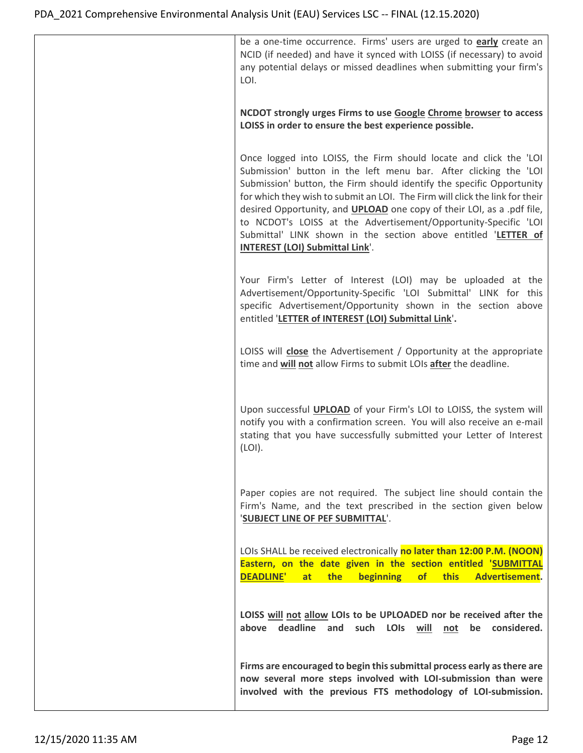| be a one-time occurrence. Firms' users are urged to early create an<br>NCID (if needed) and have it synced with LOISS (if necessary) to avoid<br>any potential delays or missed deadlines when submitting your firm's<br>LOI.                                                                                                                                                                                                                                                                                                                                  |
|----------------------------------------------------------------------------------------------------------------------------------------------------------------------------------------------------------------------------------------------------------------------------------------------------------------------------------------------------------------------------------------------------------------------------------------------------------------------------------------------------------------------------------------------------------------|
| NCDOT strongly urges Firms to use Google Chrome browser to access<br>LOISS in order to ensure the best experience possible.                                                                                                                                                                                                                                                                                                                                                                                                                                    |
| Once logged into LOISS, the Firm should locate and click the 'LOI<br>Submission' button in the left menu bar. After clicking the 'LOI<br>Submission' button, the Firm should identify the specific Opportunity<br>for which they wish to submit an LOI. The Firm will click the link for their<br>desired Opportunity, and <b>UPLOAD</b> one copy of their LOI, as a .pdf file,<br>to NCDOT's LOISS at the Advertisement/Opportunity-Specific 'LOI<br>Submittal' LINK shown in the section above entitled 'LETTER of<br><b>INTEREST (LOI) Submittal Link'.</b> |
| Your Firm's Letter of Interest (LOI) may be uploaded at the<br>Advertisement/Opportunity-Specific 'LOI Submittal' LINK for this<br>specific Advertisement/Opportunity shown in the section above<br>entitled 'LETTER of INTEREST (LOI) Submittal Link'.                                                                                                                                                                                                                                                                                                        |
| LOISS will close the Advertisement / Opportunity at the appropriate<br>time and will not allow Firms to submit LOIs after the deadline.                                                                                                                                                                                                                                                                                                                                                                                                                        |
| Upon successful <b>UPLOAD</b> of your Firm's LOI to LOISS, the system will<br>notify you with a confirmation screen. You will also receive an e-mail<br>stating that you have successfully submitted your Letter of Interest<br>(LOI).                                                                                                                                                                                                                                                                                                                         |
| Paper copies are not required. The subject line should contain the<br>Firm's Name, and the text prescribed in the section given below<br>'SUBJECT LINE OF PEF SUBMITTAL'.                                                                                                                                                                                                                                                                                                                                                                                      |
| LOIs SHALL be received electronically no later than 12:00 P.M. (NOON)<br>Eastern, on the date given in the section entitled 'SUBMITTAL<br><b>DEADLINE'</b><br>this<br>Advertisement.<br>at<br>the<br>beginning<br>of                                                                                                                                                                                                                                                                                                                                           |
| LOISS will not allow LOIs to be UPLOADED nor be received after the<br>above deadline and such LOIs will not be considered.                                                                                                                                                                                                                                                                                                                                                                                                                                     |
| Firms are encouraged to begin this submittal process early as there are<br>now several more steps involved with LOI-submission than were<br>involved with the previous FTS methodology of LOI-submission.                                                                                                                                                                                                                                                                                                                                                      |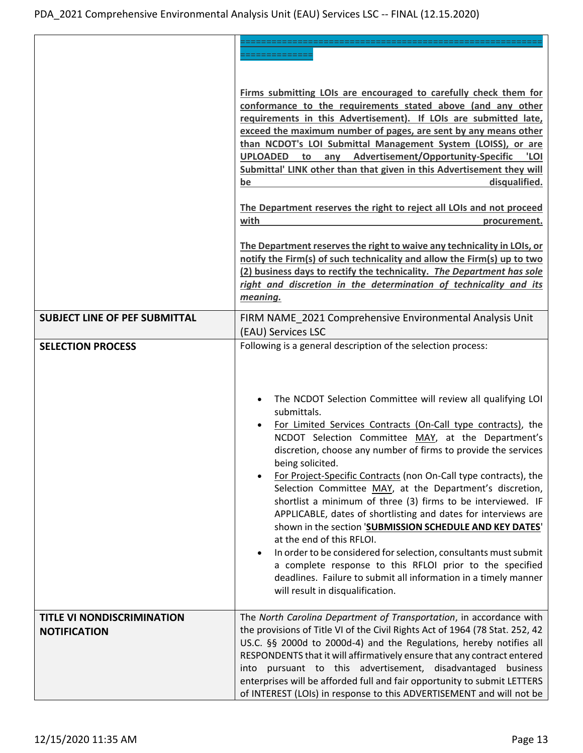|                                      | Firms submitting LOIs are encouraged to carefully check them for<br>conformance to the requirements stated above (and any other<br>requirements in this Advertisement). If LOIs are submitted late,<br>exceed the maximum number of pages, are sent by any means other<br>than NCDOT's LOI Submittal Management System (LOISS), or are<br>UPLOADED to any Advertisement/Opportunity-Specific<br>'LOI<br>Submittal' LINK other than that given in this Advertisement they will<br>disqualified.<br>be<br>The Department reserves the right to reject all LOIs and not proceed<br>with<br>procurement.<br>The Department reserves the right to waive any technicality in LOIs, or<br>notify the Firm(s) of such technicality and allow the Firm(s) up to two<br>(2) business days to rectify the technicality. The Department has sole<br>right and discretion in the determination of technicality and its |
|--------------------------------------|-----------------------------------------------------------------------------------------------------------------------------------------------------------------------------------------------------------------------------------------------------------------------------------------------------------------------------------------------------------------------------------------------------------------------------------------------------------------------------------------------------------------------------------------------------------------------------------------------------------------------------------------------------------------------------------------------------------------------------------------------------------------------------------------------------------------------------------------------------------------------------------------------------------|
|                                      | meaning.                                                                                                                                                                                                                                                                                                                                                                                                                                                                                                                                                                                                                                                                                                                                                                                                                                                                                                  |
| <b>SUBJECT LINE OF PEF SUBMITTAL</b> | FIRM NAME 2021 Comprehensive Environmental Analysis Unit<br>(EAU) Services LSC                                                                                                                                                                                                                                                                                                                                                                                                                                                                                                                                                                                                                                                                                                                                                                                                                            |
| <b>SELECTION PROCESS</b>             | Following is a general description of the selection process:                                                                                                                                                                                                                                                                                                                                                                                                                                                                                                                                                                                                                                                                                                                                                                                                                                              |
|                                      | The NCDOT Selection Committee will review all qualifying LOI<br>submittals.<br>For Limited Services Contracts (On-Call type contracts), the<br>NCDOT Selection Committee MAY, at the Department's<br>discretion, choose any number of firms to provide the services<br>being solicited.<br>For Project-Specific Contracts (non On-Call type contracts), the<br>Selection Committee MAY, at the Department's discretion,<br>shortlist a minimum of three (3) firms to be interviewed. IF<br>APPLICABLE, dates of shortlisting and dates for interviews are<br>shown in the section 'SUBMISSION SCHEDULE AND KEY DATES'<br>at the end of this RFLOI.<br>In order to be considered for selection, consultants must submit<br>a complete response to this RFLOI prior to the specified<br>deadlines. Failure to submit all information in a timely manner<br>will result in disqualification.                 |
| <b>TITLE VI NONDISCRIMINATION</b>    | The North Carolina Department of Transportation, in accordance with                                                                                                                                                                                                                                                                                                                                                                                                                                                                                                                                                                                                                                                                                                                                                                                                                                       |
| <b>NOTIFICATION</b>                  | the provisions of Title VI of the Civil Rights Act of 1964 (78 Stat. 252, 42<br>US.C. §§ 2000d to 2000d-4) and the Regulations, hereby notifies all<br>RESPONDENTS that it will affirmatively ensure that any contract entered<br>pursuant to this advertisement, disadvantaged<br>business<br>into<br>enterprises will be afforded full and fair opportunity to submit LETTERS<br>of INTEREST (LOIs) in response to this ADVERTISEMENT and will not be                                                                                                                                                                                                                                                                                                                                                                                                                                                   |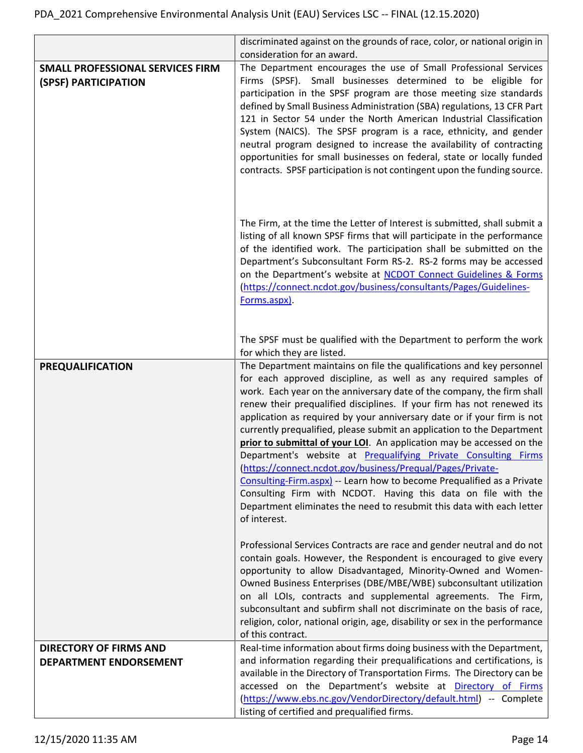|                                                                 | discriminated against on the grounds of race, color, or national origin in                                                                                                                                                                                                                                                                                                                                                                                                                                                                                                                                                                                                                                                                                                                                                                                                                      |
|-----------------------------------------------------------------|-------------------------------------------------------------------------------------------------------------------------------------------------------------------------------------------------------------------------------------------------------------------------------------------------------------------------------------------------------------------------------------------------------------------------------------------------------------------------------------------------------------------------------------------------------------------------------------------------------------------------------------------------------------------------------------------------------------------------------------------------------------------------------------------------------------------------------------------------------------------------------------------------|
|                                                                 | consideration for an award.                                                                                                                                                                                                                                                                                                                                                                                                                                                                                                                                                                                                                                                                                                                                                                                                                                                                     |
| <b>SMALL PROFESSIONAL SERVICES FIRM</b><br>(SPSF) PARTICIPATION | The Department encourages the use of Small Professional Services<br>Firms (SPSF). Small businesses determined to be eligible for<br>participation in the SPSF program are those meeting size standards<br>defined by Small Business Administration (SBA) regulations, 13 CFR Part<br>121 in Sector 54 under the North American Industrial Classification<br>System (NAICS). The SPSF program is a race, ethnicity, and gender<br>neutral program designed to increase the availability of contracting<br>opportunities for small businesses on federal, state or locally funded<br>contracts. SPSF participation is not contingent upon the funding source.                                                                                                                                                                                                                                     |
|                                                                 | The Firm, at the time the Letter of Interest is submitted, shall submit a<br>listing of all known SPSF firms that will participate in the performance<br>of the identified work. The participation shall be submitted on the<br>Department's Subconsultant Form RS-2. RS-2 forms may be accessed<br>on the Department's website at NCDOT Connect Guidelines & Forms<br>(https://connect.ncdot.gov/business/consultants/Pages/Guidelines-<br>Forms.aspx).                                                                                                                                                                                                                                                                                                                                                                                                                                        |
|                                                                 | The SPSF must be qualified with the Department to perform the work<br>for which they are listed.                                                                                                                                                                                                                                                                                                                                                                                                                                                                                                                                                                                                                                                                                                                                                                                                |
| <b>PREQUALIFICATION</b>                                         | The Department maintains on file the qualifications and key personnel<br>for each approved discipline, as well as any required samples of<br>work. Each year on the anniversary date of the company, the firm shall<br>renew their prequalified disciplines. If your firm has not renewed its<br>application as required by your anniversary date or if your firm is not<br>currently prequalified, please submit an application to the Department<br>prior to submittal of your LOI. An application may be accessed on the<br>Department's website at Prequalifying Private Consulting Firms<br>(https://connect.ncdot.gov/business/Prequal/Pages/Private-<br>Consulting-Firm.aspx) -- Learn how to become Prequalified as a Private<br>Consulting Firm with NCDOT. Having this data on file with the<br>Department eliminates the need to resubmit this data with each letter<br>of interest. |
|                                                                 | Professional Services Contracts are race and gender neutral and do not<br>contain goals. However, the Respondent is encouraged to give every<br>opportunity to allow Disadvantaged, Minority-Owned and Women-<br>Owned Business Enterprises (DBE/MBE/WBE) subconsultant utilization<br>on all LOIs, contracts and supplemental agreements. The Firm,<br>subconsultant and subfirm shall not discriminate on the basis of race,<br>religion, color, national origin, age, disability or sex in the performance<br>of this contract.                                                                                                                                                                                                                                                                                                                                                              |
| <b>DIRECTORY OF FIRMS AND</b>                                   | Real-time information about firms doing business with the Department,                                                                                                                                                                                                                                                                                                                                                                                                                                                                                                                                                                                                                                                                                                                                                                                                                           |
| DEPARTMENT ENDORSEMENT                                          | and information regarding their prequalifications and certifications, is<br>available in the Directory of Transportation Firms. The Directory can be<br>accessed on the Department's website at Directory of Firms<br>(https://www.ebs.nc.gov/VendorDirectory/default.html) -- Complete<br>listing of certified and prequalified firms.                                                                                                                                                                                                                                                                                                                                                                                                                                                                                                                                                         |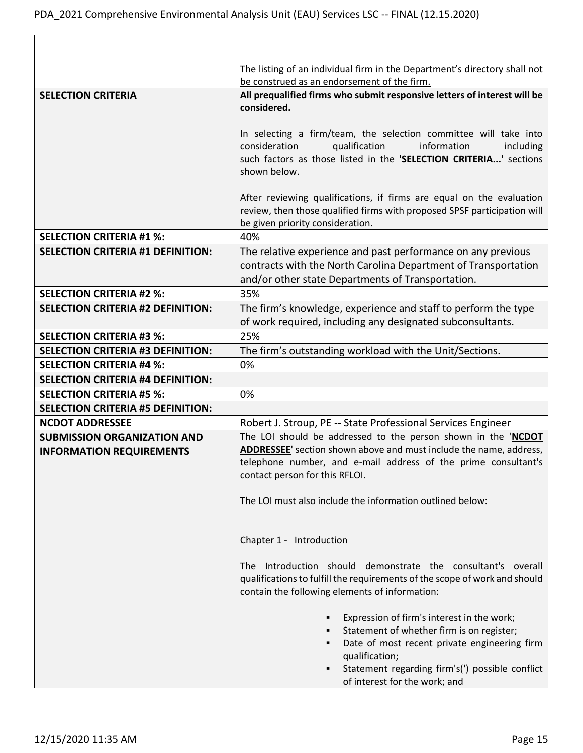|                                                                             | The listing of an individual firm in the Department's directory shall not         |
|-----------------------------------------------------------------------------|-----------------------------------------------------------------------------------|
|                                                                             | be construed as an endorsement of the firm.                                       |
| <b>SELECTION CRITERIA</b>                                                   | All prequalified firms who submit responsive letters of interest will be          |
|                                                                             | considered.                                                                       |
|                                                                             |                                                                                   |
|                                                                             | In selecting a firm/team, the selection committee will take into                  |
|                                                                             | consideration<br>qualification<br>information<br>including                        |
|                                                                             | such factors as those listed in the 'SELECTION CRITERIA' sections<br>shown below. |
|                                                                             |                                                                                   |
|                                                                             | After reviewing qualifications, if firms are equal on the evaluation              |
|                                                                             | review, then those qualified firms with proposed SPSF participation will          |
|                                                                             | be given priority consideration.                                                  |
| <b>SELECTION CRITERIA #1 %:</b>                                             | 40%                                                                               |
| <b>SELECTION CRITERIA #1 DEFINITION:</b>                                    | The relative experience and past performance on any previous                      |
|                                                                             | contracts with the North Carolina Department of Transportation                    |
|                                                                             | and/or other state Departments of Transportation.                                 |
| <b>SELECTION CRITERIA #2 %:</b>                                             | 35%                                                                               |
| <b>SELECTION CRITERIA #2 DEFINITION:</b>                                    | The firm's knowledge, experience and staff to perform the type                    |
|                                                                             | of work required, including any designated subconsultants.                        |
| <b>SELECTION CRITERIA #3 %:</b><br><b>SELECTION CRITERIA #3 DEFINITION:</b> | 25%<br>The firm's outstanding workload with the Unit/Sections.                    |
| <b>SELECTION CRITERIA #4 %:</b>                                             | 0%                                                                                |
| <b>SELECTION CRITERIA #4 DEFINITION:</b>                                    |                                                                                   |
| <b>SELECTION CRITERIA #5 %:</b>                                             | 0%                                                                                |
| <b>SELECTION CRITERIA #5 DEFINITION:</b>                                    |                                                                                   |
| <b>NCDOT ADDRESSEE</b>                                                      | Robert J. Stroup, PE -- State Professional Services Engineer                      |
| <b>SUBMISSION ORGANIZATION AND</b>                                          | The LOI should be addressed to the person shown in the 'NCDOT                     |
| <b>INFORMATION REQUIREMENTS</b>                                             | ADDRESSEE' section shown above and must include the name, address,                |
|                                                                             | telephone number, and e-mail address of the prime consultant's                    |
|                                                                             | contact person for this RFLOI.                                                    |
|                                                                             | The LOI must also include the information outlined below:                         |
|                                                                             |                                                                                   |
|                                                                             |                                                                                   |
|                                                                             | Chapter 1 - Introduction                                                          |
|                                                                             |                                                                                   |
|                                                                             | The Introduction should demonstrate the consultant's overall                      |
|                                                                             | qualifications to fulfill the requirements of the scope of work and should        |
|                                                                             | contain the following elements of information:                                    |
|                                                                             | Expression of firm's interest in the work;                                        |
|                                                                             | Statement of whether firm is on register;                                         |
|                                                                             | Date of most recent private engineering firm<br>٠                                 |
|                                                                             | qualification;                                                                    |
|                                                                             | Statement regarding firm's(') possible conflict                                   |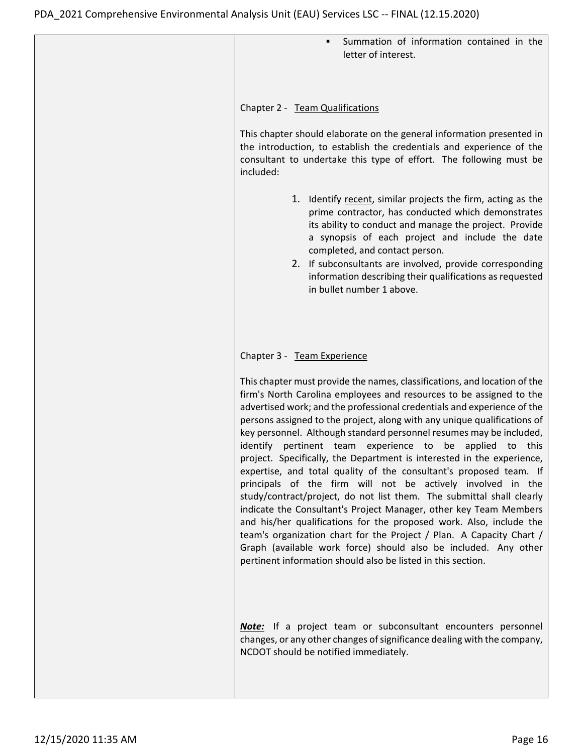| Summation of information contained in the<br>٠<br>letter of interest.                                                                                                                                                                                                                                                                                                                                                                                                                                                                                                                                                                                                                                                                                                                                                                                                                                                                                                                                                                                                                                                                |
|--------------------------------------------------------------------------------------------------------------------------------------------------------------------------------------------------------------------------------------------------------------------------------------------------------------------------------------------------------------------------------------------------------------------------------------------------------------------------------------------------------------------------------------------------------------------------------------------------------------------------------------------------------------------------------------------------------------------------------------------------------------------------------------------------------------------------------------------------------------------------------------------------------------------------------------------------------------------------------------------------------------------------------------------------------------------------------------------------------------------------------------|
| Chapter 2 - Team Qualifications<br>This chapter should elaborate on the general information presented in<br>the introduction, to establish the credentials and experience of the<br>consultant to undertake this type of effort. The following must be<br>included:<br>1. Identify recent, similar projects the firm, acting as the<br>prime contractor, has conducted which demonstrates<br>its ability to conduct and manage the project. Provide<br>a synopsis of each project and include the date<br>completed, and contact person.<br>2. If subconsultants are involved, provide corresponding<br>information describing their qualifications as requested<br>in bullet number 1 above.                                                                                                                                                                                                                                                                                                                                                                                                                                        |
| Chapter 3 - Team Experience<br>This chapter must provide the names, classifications, and location of the<br>firm's North Carolina employees and resources to be assigned to the<br>advertised work; and the professional credentials and experience of the<br>persons assigned to the project, along with any unique qualifications of<br>key personnel. Although standard personnel resumes may be included,<br>pertinent team experience to be<br>identify<br>applied<br>this<br>to<br>project. Specifically, the Department is interested in the experience,<br>expertise, and total quality of the consultant's proposed team. If<br>principals of the firm will not be actively involved in the<br>study/contract/project, do not list them. The submittal shall clearly<br>indicate the Consultant's Project Manager, other key Team Members<br>and his/her qualifications for the proposed work. Also, include the<br>team's organization chart for the Project / Plan. A Capacity Chart /<br>Graph (available work force) should also be included. Any other<br>pertinent information should also be listed in this section. |
| <b>Note:</b> If a project team or subconsultant encounters personnel<br>changes, or any other changes of significance dealing with the company,<br>NCDOT should be notified immediately.                                                                                                                                                                                                                                                                                                                                                                                                                                                                                                                                                                                                                                                                                                                                                                                                                                                                                                                                             |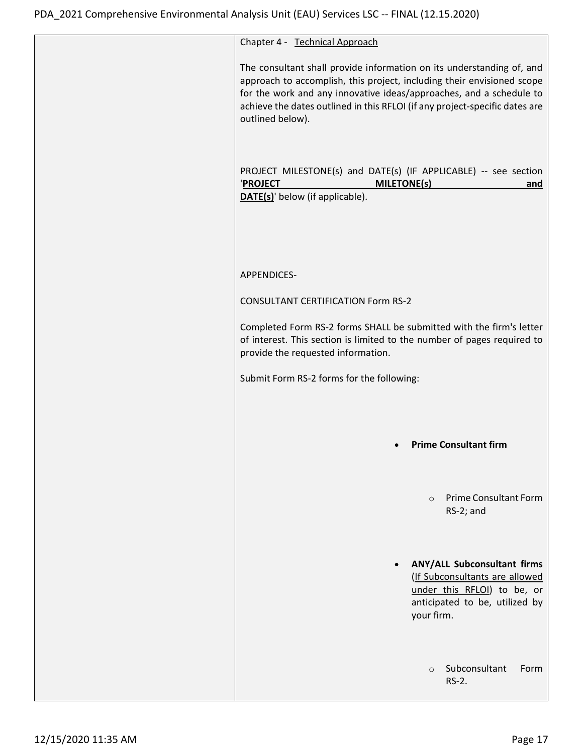| Chapter 4 - Technical Approach                                                                                                                                                                                                                                                                                            |
|---------------------------------------------------------------------------------------------------------------------------------------------------------------------------------------------------------------------------------------------------------------------------------------------------------------------------|
| The consultant shall provide information on its understanding of, and<br>approach to accomplish, this project, including their envisioned scope<br>for the work and any innovative ideas/approaches, and a schedule to<br>achieve the dates outlined in this RFLOI (if any project-specific dates are<br>outlined below). |
| PROJECT MILESTONE(s) and DATE(s) (IF APPLICABLE) -- see section<br><b>MILETONE(s)</b><br>'PROJECT<br>and<br><b>DATE(s)'</b> below (if applicable).                                                                                                                                                                        |
| APPENDICES-                                                                                                                                                                                                                                                                                                               |
| <b>CONSULTANT CERTIFICATION Form RS-2</b>                                                                                                                                                                                                                                                                                 |
| Completed Form RS-2 forms SHALL be submitted with the firm's letter<br>of interest. This section is limited to the number of pages required to<br>provide the requested information.                                                                                                                                      |
| Submit Form RS-2 forms for the following:                                                                                                                                                                                                                                                                                 |
|                                                                                                                                                                                                                                                                                                                           |
| <b>Prime Consultant firm</b>                                                                                                                                                                                                                                                                                              |
| <b>Prime Consultant Form</b><br>$\Omega$<br>RS-2; and                                                                                                                                                                                                                                                                     |
| ANY/ALL Subconsultant firms<br>$\bullet$<br>(If Subconsultants are allowed<br>under this RFLOI) to be, or<br>anticipated to be, utilized by<br>your firm.                                                                                                                                                                 |
| Subconsultant<br>Form<br>$\circ$<br>RS-2.                                                                                                                                                                                                                                                                                 |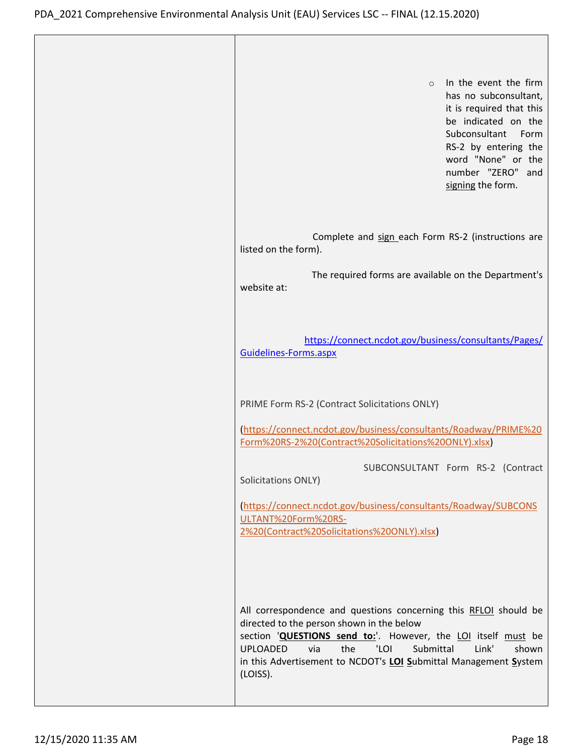| In the event the firm<br>$\circ$<br>has no subconsultant,<br>it is required that this<br>be indicated on the<br>Subconsultant Form<br>RS-2 by entering the<br>word "None" or the<br>number "ZERO" and<br>signing the form.                                                                                                             |
|----------------------------------------------------------------------------------------------------------------------------------------------------------------------------------------------------------------------------------------------------------------------------------------------------------------------------------------|
| Complete and sign each Form RS-2 (instructions are<br>listed on the form).                                                                                                                                                                                                                                                             |
| The required forms are available on the Department's<br>website at:                                                                                                                                                                                                                                                                    |
| https://connect.ncdot.gov/business/consultants/Pages/<br>Guidelines-Forms.aspx                                                                                                                                                                                                                                                         |
| PRIME Form RS-2 (Contract Solicitations ONLY)                                                                                                                                                                                                                                                                                          |
| (https://connect.ncdot.gov/business/consultants/Roadway/PRIME%20<br>Form%20RS-2%20(Contract%20Solicitations%20ONLY).xlsx)                                                                                                                                                                                                              |
| SUBCONSULTANT Form RS-2 (Contract<br>Solicitations ONLY)                                                                                                                                                                                                                                                                               |
| (https://connect.ncdot.gov/business/consultants/Roadway/SUBCONS<br>ULTANT%20Form%20RS-<br>2%20(Contract%20Solicitations%20ONLY).xlsx)                                                                                                                                                                                                  |
| All correspondence and questions concerning this RFLOI should be<br>directed to the person shown in the below<br>section 'QUESTIONS send to:'. However, the LOI itself must be<br><b>UPLOADED</b><br>'LOI<br>Submittal<br>via<br>the<br>Link'<br>shown<br>in this Advertisement to NCDOT's LOI Submittal Management System<br>(LOISS). |